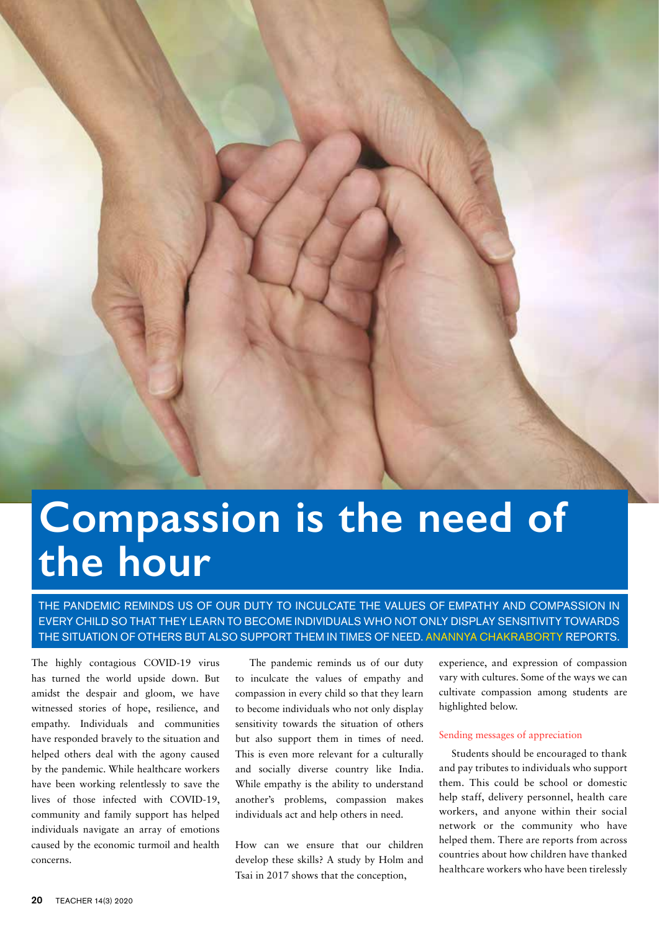

# **Compassion is the need of the hour**

THE PANDEMIC REMINDS US OF OUR DUTY TO INCULCATE THE VALUES OF EMPATHY AND COMPASSION IN EVERY CHILD SO THAT THEY LEARN TO BECOME INDIVIDUALS WHO NOT ONLY DISPLAY SENSITIVITY TOWARDS THE SITUATION OF OTHERS BUT ALSO SUPPORT THEM IN TIMES OF NEED. ANANNYA CHAKRABORTY REPORTS.

The highly contagious COVID-19 virus has turned the world upside down. But amidst the despair and gloom, we have witnessed stories of hope, resilience, and empathy. Individuals and communities have responded bravely to the situation and helped others deal with the agony caused by the pandemic. While healthcare workers have been working relentlessly to save the lives of those infected with COVID-19, community and family support has helped individuals navigate an array of emotions caused by the economic turmoil and health concerns.

 The pandemic reminds us of our duty to inculcate the values of empathy and compassion in every child so that they learn to become individuals who not only display sensitivity towards the situation of others but also support them in times of need. This is even more relevant for a culturally and socially diverse country like India. While empathy is the ability to understand another's problems, compassion makes individuals act and help others in need.

How can we ensure that our children develop these skills? A study by Holm and Tsai in 2017 shows that the conception,

experience, and expression of compassion vary with cultures. Some of the ways we can cultivate compassion among students are highlighted below.

## Sending messages of appreciation

Students should be encouraged to thank and pay tributes to individuals who support them. This could be school or domestic help staff, delivery personnel, health care workers, and anyone within their social network or the community who have helped them. There are reports from across countries about how children have thanked healthcare workers who have been tirelessly